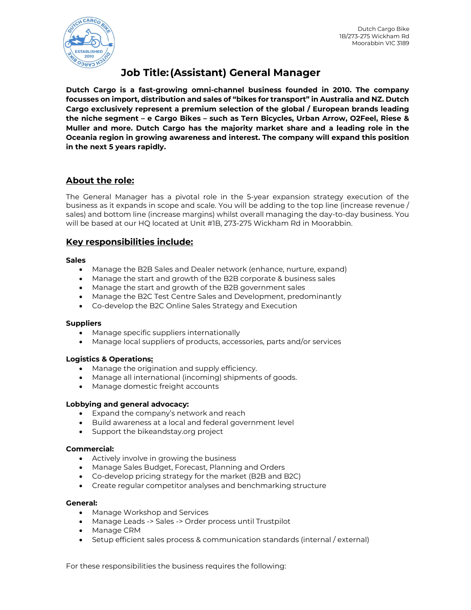

# Job Title: (Assistant) General Manager

Dutch Cargo is a fast-growing omni-channel business founded in 2010. The company focusses on import, distribution and sales of "bikes for transport" in Australia and NZ. Dutch Cargo exclusively represent a premium selection of the global / European brands leading the niche segment – e Cargo Bikes – such as Tern Bicycles, Urban Arrow, O2Feel, Riese & Muller and more. Dutch Cargo has the majority market share and a leading role in the Oceania region in growing awareness and interest. The company will expand this position in the next 5 years rapidly.

# About the role:

The General Manager has a pivotal role in the 5-year expansion strategy execution of the business as it expands in scope and scale. You will be adding to the top line (increase revenue / sales) and bottom line (increase margins) whilst overall managing the day-to-day business. You will be based at our HQ located at Unit #1B, 273-275 Wickham Rd in Moorabbin.

# Key responsibilities include:

## **Sales**

- Manage the B2B Sales and Dealer network (enhance, nurture, expand)
- Manage the start and growth of the B2B corporate & business sales
- Manage the start and growth of the B2B government sales
- Manage the B2C Test Centre Sales and Development, predominantly
- Co-develop the B2C Online Sales Strategy and Execution

# **Suppliers**

- Manage specific suppliers internationally
- Manage local suppliers of products, accessories, parts and/or services

# Logistics & Operations:

- Manage the origination and supply efficiency.
- Manage all international (incoming) shipments of goods.
- Manage domestic freight accounts

# Lobbying and general advocacy:

- Expand the company's network and reach
- Build awareness at a local and federal government level
- Support the bikeandstay.org project

#### Commercial:

- Actively involve in growing the business
- Manage Sales Budget, Forecast, Planning and Orders
- Co-develop pricing strategy for the market (B2B and B2C)
- Create regular competitor analyses and benchmarking structure

#### General:

- Manage Workshop and Services
- Manage Leads -> Sales -> Order process until Trustpilot
- Manage CRM
- Setup efficient sales process & communication standards (internal / external)

For these responsibilities the business requires the following: